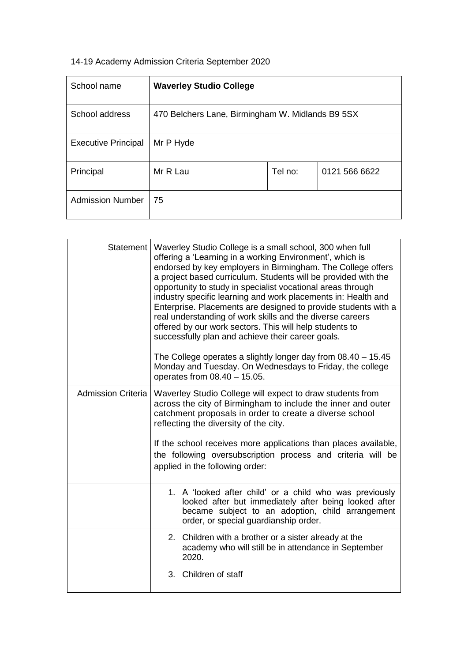## 14-19 Academy Admission Criteria September 2020

ŕ

| School name                | <b>Waverley Studio College</b>                   |         |               |
|----------------------------|--------------------------------------------------|---------|---------------|
| School address             | 470 Belchers Lane, Birmingham W. Midlands B9 5SX |         |               |
| <b>Executive Principal</b> | Mr P Hyde                                        |         |               |
| Principal                  | Mr R Lau                                         | Tel no: | 0121 566 6622 |
| <b>Admission Number</b>    | 75                                               |         |               |

|                           | Statement   Waverley Studio College is a small school, 300 when full<br>offering a 'Learning in a working Environment', which is<br>endorsed by key employers in Birmingham. The College offers<br>a project based curriculum. Students will be provided with the<br>opportunity to study in specialist vocational areas through<br>industry specific learning and work placements in: Health and<br>Enterprise. Placements are designed to provide students with a<br>real understanding of work skills and the diverse careers<br>offered by our work sectors. This will help students to<br>successfully plan and achieve their career goals.<br>The College operates a slightly longer day from 08.40 - 15.45<br>Monday and Tuesday. On Wednesdays to Friday, the college<br>operates from 08.40 - 15.05. |  |
|---------------------------|---------------------------------------------------------------------------------------------------------------------------------------------------------------------------------------------------------------------------------------------------------------------------------------------------------------------------------------------------------------------------------------------------------------------------------------------------------------------------------------------------------------------------------------------------------------------------------------------------------------------------------------------------------------------------------------------------------------------------------------------------------------------------------------------------------------|--|
| <b>Admission Criteria</b> | Waverley Studio College will expect to draw students from<br>across the city of Birmingham to include the inner and outer<br>catchment proposals in order to create a diverse school<br>reflecting the diversity of the city.<br>If the school receives more applications than places available,<br>the following oversubscription process and criteria will be<br>applied in the following order:                                                                                                                                                                                                                                                                                                                                                                                                            |  |
|                           | 1. A 'looked after child' or a child who was previously<br>looked after but immediately after being looked after<br>became subject to an adoption, child arrangement<br>order, or special guardianship order.                                                                                                                                                                                                                                                                                                                                                                                                                                                                                                                                                                                                 |  |
|                           | 2. Children with a brother or a sister already at the<br>academy who will still be in attendance in September<br>2020.                                                                                                                                                                                                                                                                                                                                                                                                                                                                                                                                                                                                                                                                                        |  |
|                           | 3. Children of staff                                                                                                                                                                                                                                                                                                                                                                                                                                                                                                                                                                                                                                                                                                                                                                                          |  |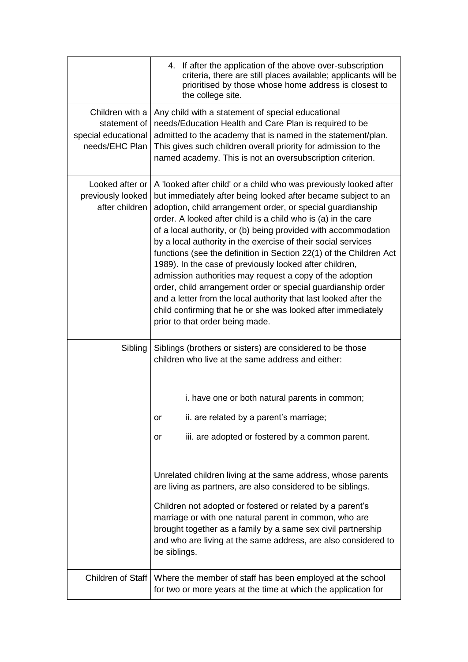|                                                                          | 4. If after the application of the above over-subscription<br>criteria, there are still places available; applicants will be<br>prioritised by those whose home address is closest to<br>the college site.                                                                                                                                                                                                                                                                                                                                                                                                                                                                                                                                                                                                                                                 |  |
|--------------------------------------------------------------------------|------------------------------------------------------------------------------------------------------------------------------------------------------------------------------------------------------------------------------------------------------------------------------------------------------------------------------------------------------------------------------------------------------------------------------------------------------------------------------------------------------------------------------------------------------------------------------------------------------------------------------------------------------------------------------------------------------------------------------------------------------------------------------------------------------------------------------------------------------------|--|
| Children with a<br>statement of<br>special educational<br>needs/EHC Plan | Any child with a statement of special educational<br>needs/Education Health and Care Plan is required to be<br>admitted to the academy that is named in the statement/plan.<br>This gives such children overall priority for admission to the<br>named academy. This is not an oversubscription criterion.                                                                                                                                                                                                                                                                                                                                                                                                                                                                                                                                                 |  |
| previously looked<br>after children                                      | Looked after or   A 'looked after child' or a child who was previously looked after<br>but immediately after being looked after became subject to an<br>adoption, child arrangement order, or special guardianship<br>order. A looked after child is a child who is (a) in the care<br>of a local authority, or (b) being provided with accommodation<br>by a local authority in the exercise of their social services<br>functions (see the definition in Section 22(1) of the Children Act<br>1989). In the case of previously looked after children,<br>admission authorities may request a copy of the adoption<br>order, child arrangement order or special guardianship order<br>and a letter from the local authority that last looked after the<br>child confirming that he or she was looked after immediately<br>prior to that order being made. |  |
| Sibling                                                                  | Siblings (brothers or sisters) are considered to be those<br>children who live at the same address and either:                                                                                                                                                                                                                                                                                                                                                                                                                                                                                                                                                                                                                                                                                                                                             |  |
|                                                                          | i. have one or both natural parents in common;                                                                                                                                                                                                                                                                                                                                                                                                                                                                                                                                                                                                                                                                                                                                                                                                             |  |
|                                                                          | ii. are related by a parent's marriage;<br>or                                                                                                                                                                                                                                                                                                                                                                                                                                                                                                                                                                                                                                                                                                                                                                                                              |  |
|                                                                          | iii. are adopted or fostered by a common parent.<br>or                                                                                                                                                                                                                                                                                                                                                                                                                                                                                                                                                                                                                                                                                                                                                                                                     |  |
|                                                                          | Unrelated children living at the same address, whose parents<br>are living as partners, are also considered to be siblings.                                                                                                                                                                                                                                                                                                                                                                                                                                                                                                                                                                                                                                                                                                                                |  |
|                                                                          | Children not adopted or fostered or related by a parent's<br>marriage or with one natural parent in common, who are<br>brought together as a family by a same sex civil partnership<br>and who are living at the same address, are also considered to<br>be siblings.                                                                                                                                                                                                                                                                                                                                                                                                                                                                                                                                                                                      |  |
| Children of Staff                                                        | Where the member of staff has been employed at the school<br>for two or more years at the time at which the application for                                                                                                                                                                                                                                                                                                                                                                                                                                                                                                                                                                                                                                                                                                                                |  |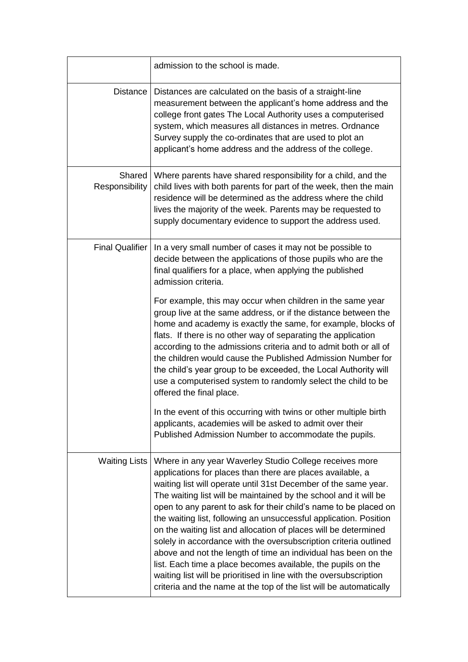|                            | admission to the school is made.                                                                                                                                                                                                                                                                                                                                                                                                                                                                                                                                                                                                                                                                                                                                                                                           |
|----------------------------|----------------------------------------------------------------------------------------------------------------------------------------------------------------------------------------------------------------------------------------------------------------------------------------------------------------------------------------------------------------------------------------------------------------------------------------------------------------------------------------------------------------------------------------------------------------------------------------------------------------------------------------------------------------------------------------------------------------------------------------------------------------------------------------------------------------------------|
| Distance                   | Distances are calculated on the basis of a straight-line<br>measurement between the applicant's home address and the<br>college front gates The Local Authority uses a computerised<br>system, which measures all distances in metres. Ordnance<br>Survey supply the co-ordinates that are used to plot an<br>applicant's home address and the address of the college.                                                                                                                                                                                                                                                                                                                                                                                                                                                     |
| Shared  <br>Responsibility | Where parents have shared responsibility for a child, and the<br>child lives with both parents for part of the week, then the main<br>residence will be determined as the address where the child<br>lives the majority of the week. Parents may be requested to<br>supply documentary evidence to support the address used.                                                                                                                                                                                                                                                                                                                                                                                                                                                                                               |
| <b>Final Qualifier</b>     | In a very small number of cases it may not be possible to<br>decide between the applications of those pupils who are the<br>final qualifiers for a place, when applying the published<br>admission criteria.                                                                                                                                                                                                                                                                                                                                                                                                                                                                                                                                                                                                               |
|                            | For example, this may occur when children in the same year<br>group live at the same address, or if the distance between the<br>home and academy is exactly the same, for example, blocks of<br>flats. If there is no other way of separating the application<br>according to the admissions criteria and to admit both or all of<br>the children would cause the Published Admission Number for<br>the child's year group to be exceeded, the Local Authority will<br>use a computerised system to randomly select the child to be<br>offered the final place.                                                                                                                                                                                                                                                            |
|                            | In the event of this occurring with twins or other multiple birth<br>applicants, academies will be asked to admit over their<br>Published Admission Number to accommodate the pupils.                                                                                                                                                                                                                                                                                                                                                                                                                                                                                                                                                                                                                                      |
| <b>Waiting Lists</b>       | Where in any year Waverley Studio College receives more<br>applications for places than there are places available, a<br>waiting list will operate until 31st December of the same year.<br>The waiting list will be maintained by the school and it will be<br>open to any parent to ask for their child's name to be placed on<br>the waiting list, following an unsuccessful application. Position<br>on the waiting list and allocation of places will be determined<br>solely in accordance with the oversubscription criteria outlined<br>above and not the length of time an individual has been on the<br>list. Each time a place becomes available, the pupils on the<br>waiting list will be prioritised in line with the oversubscription<br>criteria and the name at the top of the list will be automatically |